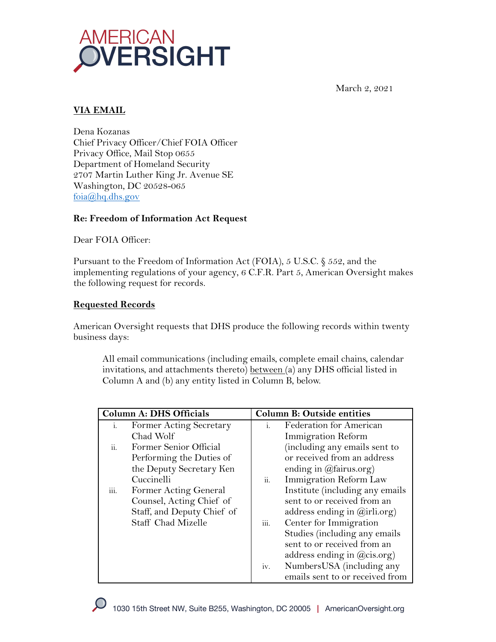

March 2, 2021

# **VIA EMAIL**

Dena Kozanas Chief Privacy Officer/Chief FOIA Officer Privacy Office, Mail Stop 0655 Department of Homeland Security 2707 Martin Luther King Jr. Avenue SE Washington, DC 20528-065 foia@hq.dhs.gov

#### **Re: Freedom of Information Act Request**

Dear FOIA Officer:

Pursuant to the Freedom of Information Act (FOIA), 5 U.S.C. § 552, and the implementing regulations of your agency, 6 C.F.R. Part 5, American Oversight makes the following request for records.

#### **Requested Records**

American Oversight requests that DHS produce the following records within twenty business days:

All email communications (including emails, complete email chains, calendar invitations, and attachments thereto) between (a) any DHS official listed in Column A and (b) any entity listed in Column B, below.

| <b>Column A: DHS Officials</b> |                            | <b>Column B: Outside entities</b> |                                         |
|--------------------------------|----------------------------|-----------------------------------|-----------------------------------------|
| i.                             | Former Acting Secretary    | $\mathbf{i}$ .                    | Federation for American                 |
|                                | Chad Wolf                  |                                   | <b>Immigration Reform</b>               |
| ii.                            | Former Senior Official     |                                   | (including any emails sent to           |
|                                | Performing the Duties of   |                                   | or received from an address             |
|                                | the Deputy Secretary Ken   |                                   | ending in $(\omega)$ fairus.org)        |
|                                | Cuccinelli                 | ii.                               | Immigration Reform Law                  |
| $\dddot{\text{iii}}$ .         | Former Acting General      |                                   | Institute (including any emails         |
|                                | Counsel, Acting Chief of   |                                   | sent to or received from an             |
|                                | Staff, and Deputy Chief of |                                   | address ending in $(\vec{a})$ irli.org) |
|                                | Staff Chad Mizelle         | iii.                              | Center for Immigration                  |
|                                |                            |                                   | Studies (including any emails           |
|                                |                            |                                   | sent to or received from an             |
|                                |                            |                                   | address ending in $(\omega$ cis.org)    |
|                                |                            | iv.                               | NumbersUSA (including any               |
|                                |                            |                                   | emails sent to or received from         |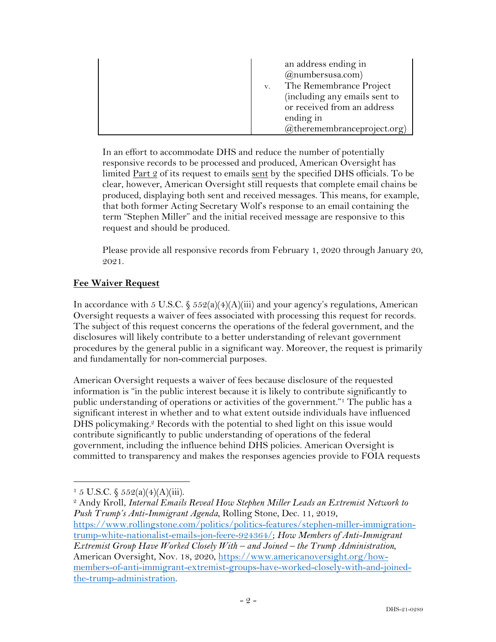| an address ending in<br>$(a)$ numbersusa.com)<br>v. The Remembrance Project<br>(including any emails sent to<br>or received from an address<br>ending in |
|----------------------------------------------------------------------------------------------------------------------------------------------------------|
| $(a)$ theremembranceproject.org)                                                                                                                         |

In an effort to accommodate DHS and reduce the number of potentially responsive records to be processed and produced, American Oversight has limited  $Part 2$  of its request to emails sent by the specified DHS officials. To be clear, however, American Oversight still requests that complete email chains be produced, displaying both sent and received messages. This means, for example, that both former Acting Secretary Wolf's response to an email containing the term "Stephen Miller" and the initial received message are responsive to this request and should be produced.

Please provide all responsive records from February 1, 2020 through January 20, 2021.

## **Fee Waiver Request**

In accordance with 5 U.S.C.  $\frac{552(a)(4)(A)(iii)}{3}$  and your agency's regulations, American Oversight requests a waiver of fees associated with processing this request for records. The subject of this request concerns the operations of the federal government, and the disclosures will likely contribute to a better understanding of relevant government procedures by the general public in a significant way. Moreover, the request is primarily and fundamentally for non-commercial purposes.

American Oversight requests a waiver of fees because disclosure of the requested information is "in the public interest because it is likely to contribute significantly to public understanding of operations or activities of the government."1 The public has a significant interest in whether and to what extent outside individuals have influenced DHS policymaking. <sup>2</sup> Records with the potential to shed light on this issue would contribute significantly to public understanding of operations of the federal government, including the influence behind DHS policies. American Oversight is committed to transparency and makes the responses agencies provide to FOIA requests

 $1\,5$  U.S.C.  $\frac{2552(a)(4)(A)(iii)}{3}$ .

<sup>2</sup> Andy Kroll, *Internal Emails Reveal How Stephen Miller Leads an Extremist Network to Push Trump's Anti-Immigrant Agenda*, Rolling Stone, Dec. 11, 2019, https://www.rollingstone.com/politics/politics-features/stephen-miller-immigrationtrump-white-nationalist-emails-jon-feere-924364/; *How Members of Anti-Immigrant Extremist Group Have Worked Closely With – and Joined – the Trump Administration*, American Oversight, Nov. 18, 2020, https://www.americanoversight.org/howmembers-of-anti-immigrant-extremist-groups-have-worked-closely-with-and-joinedthe-trump-administration.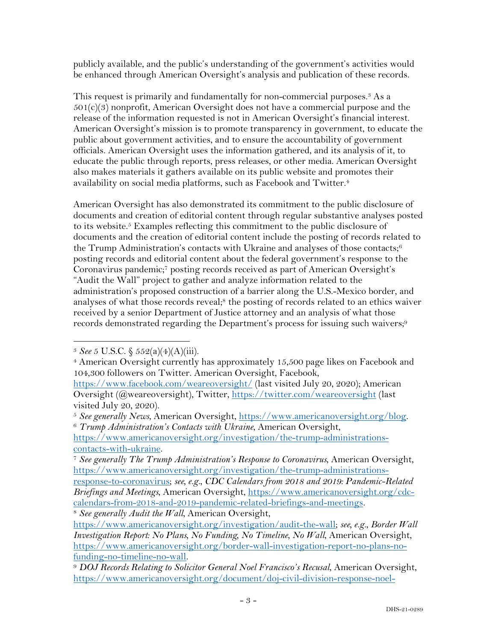publicly available, and the public's understanding of the government's activities would be enhanced through American Oversight's analysis and publication of these records.

This request is primarily and fundamentally for non-commercial purposes.<sup>3</sup> As a  $501(c)(3)$  nonprofit, American Oversight does not have a commercial purpose and the release of the information requested is not in American Oversight's financial interest. American Oversight's mission is to promote transparency in government, to educate the public about government activities, and to ensure the accountability of government officials. American Oversight uses the information gathered, and its analysis of it, to educate the public through reports, press releases, or other media. American Oversight also makes materials it gathers available on its public website and promotes their availability on social media platforms, such as Facebook and Twitter.4

American Oversight has also demonstrated its commitment to the public disclosure of documents and creation of editorial content through regular substantive analyses posted to its website.5 Examples reflecting this commitment to the public disclosure of documents and the creation of editorial content include the posting of records related to the Trump Administration's contacts with Ukraine and analyses of those contacts; $6$ posting records and editorial content about the federal government's response to the Coronavirus pandemic;7 posting records received as part of American Oversight's "Audit the Wall" project to gather and analyze information related to the administration's proposed construction of a barrier along the U.S.-Mexico border, and analyses of what those records reveal;<sup>8</sup> the posting of records related to an ethics waiver received by a senior Department of Justice attorney and an analysis of what those records demonstrated regarding the Department's process for issuing such waivers;<sup>9</sup>

<sup>8</sup> *See generally Audit the Wall*, American Oversight,

<sup>3</sup> *See* 5 U.S.C. § 552(a)(4)(A)(iii).

<sup>4</sup> American Oversight currently has approximately 15,500 page likes on Facebook and 104,300 followers on Twitter. American Oversight, Facebook,

https://www.facebook.com/weareoversight/ (last visited July 20, 2020); American Oversight (@weareoversight), Twitter, https://twitter.com/weareoversight (last visited July 20, 2020).

<sup>5</sup> *See generally News*, American Oversight, https://www.americanoversight.org/blog. 6 *Trump Administration's Contacts with Ukraine*, American Oversight,

https://www.americanoversight.org/investigation/the-trump-administrationscontacts-with-ukraine.

<sup>7</sup> *See generally The Trump Administration's Response to Coronavirus*, American Oversight, https://www.americanoversight.org/investigation/the-trump-administrations-

response-to-coronavirus; *see, e.g.*, *CDC Calendars from 2018 and 2019: Pandemic-Related Briefings and Meetings*, American Oversight, https://www.americanoversight.org/cdccalendars-from-2018-and-2019-pandemic-related-briefings-and-meetings.

https://www.americanoversight.org/investigation/audit-the-wall; *see, e.g.*, *Border Wall Investigation Report: No Plans, No Funding, No Timeline, No Wall, American Oversight,* https://www.americanoversight.org/border-wall-investigation-report-no-plans-nofunding-no-timeline-no-wall. 9 *DOJ Records Relating to Solicitor General Noel Francisco's Recusal*, American Oversight,

https://www.americanoversight.org/document/doj-civil-division-response-noel-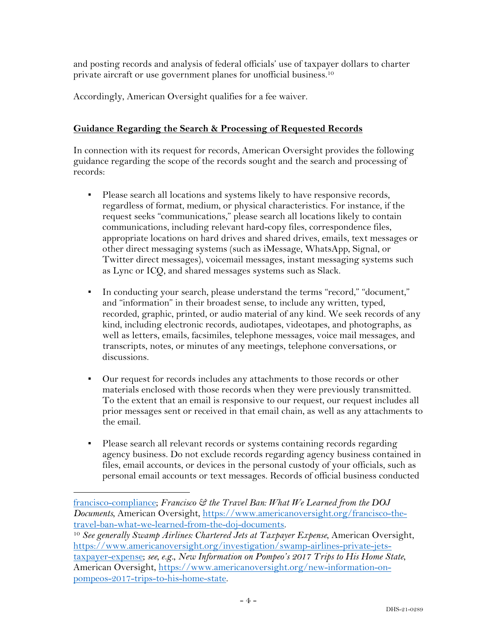and posting records and analysis of federal officials' use of taxpayer dollars to charter private aircraft or use government planes for unofficial business. 10

Accordingly, American Oversight qualifies for a fee waiver.

## **Guidance Regarding the Search & Processing of Requested Records**

In connection with its request for records, American Oversight provides the following guidance regarding the scope of the records sought and the search and processing of records:

- Please search all locations and systems likely to have responsive records, regardless of format, medium, or physical characteristics. For instance, if the request seeks "communications," please search all locations likely to contain communications, including relevant hard-copy files, correspondence files, appropriate locations on hard drives and shared drives, emails, text messages or other direct messaging systems (such as iMessage, WhatsApp, Signal, or Twitter direct messages), voicemail messages, instant messaging systems such as Lync or ICQ, and shared messages systems such as Slack.
- In conducting your search, please understand the terms "record," "document," and "information" in their broadest sense, to include any written, typed, recorded, graphic, printed, or audio material of any kind. We seek records of any kind, including electronic records, audiotapes, videotapes, and photographs, as well as letters, emails, facsimiles, telephone messages, voice mail messages, and transcripts, notes, or minutes of any meetings, telephone conversations, or discussions.
- Our request for records includes any attachments to those records or other materials enclosed with those records when they were previously transmitted. To the extent that an email is responsive to our request, our request includes all prior messages sent or received in that email chain, as well as any attachments to the email.
- Please search all relevant records or systems containing records regarding agency business. Do not exclude records regarding agency business contained in files, email accounts, or devices in the personal custody of your officials, such as personal email accounts or text messages. Records of official business conducted

<sup>10</sup> See generally Swamp Airlines: Chartered Jets at Taxpayer Expense, American Oversight, https://www.americanoversight.org/investigation/swamp-airlines-private-jetstaxpayer-expense; *see, e.g.*, *New Information on Pompeo's 2017 Trips to His Home State*, American Oversight, https://www.americanoversight.org/new-information-onpompeos-2017-trips-to-his-home-state.

francisco-compliance; *Francisco & the Travel Ban: What We Learned from the DOJ Documents*, American Oversight, https://www.americanoversight.org/francisco-thetravel-ban-what-we-learned-from-the-doj-documents.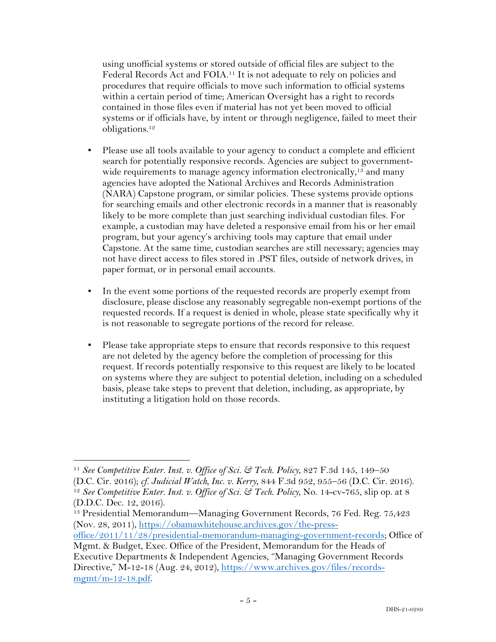using unofficial systems or stored outside of official files are subject to the Federal Records Act and FOIA.11 It is not adequate to rely on policies and procedures that require officials to move such information to official systems within a certain period of time; American Oversight has a right to records contained in those files even if material has not yet been moved to official systems or if officials have, by intent or through negligence, failed to meet their obligations.12

- Please use all tools available to your agency to conduct a complete and efficient search for potentially responsive records. Agencies are subject to governmentwide requirements to manage agency information electronically,<sup>13</sup> and many agencies have adopted the National Archives and Records Administration (NARA) Capstone program, or similar policies. These systems provide options for searching emails and other electronic records in a manner that is reasonably likely to be more complete than just searching individual custodian files. For example, a custodian may have deleted a responsive email from his or her email program, but your agency's archiving tools may capture that email under Capstone. At the same time, custodian searches are still necessary; agencies may not have direct access to files stored in .PST files, outside of network drives, in paper format, or in personal email accounts.
- In the event some portions of the requested records are properly exempt from disclosure, please disclose any reasonably segregable non-exempt portions of the requested records. If a request is denied in whole, please state specifically why it is not reasonable to segregate portions of the record for release.
- Please take appropriate steps to ensure that records responsive to this request are not deleted by the agency before the completion of processing for this request. If records potentially responsive to this request are likely to be located on systems where they are subject to potential deletion, including on a scheduled basis, please take steps to prevent that deletion, including, as appropriate, by instituting a litigation hold on those records.

<sup>11</sup> *See Competitive Enter. Inst. v. Office of Sci. & Tech. Policy*, 827 F.3d 145, 149–50

<sup>(</sup>D.C. Cir. 2016); *cf. Judicial Watch, Inc. v. Kerry*, 844 F.3d 952, 955–56 (D.C. Cir. 2016). 12 *See Competitive Enter. Inst. v. Office of Sci. & Tech. Policy*, No. 14-cv-765, slip op. at 8 (D.D.C. Dec. 12, 2016).

<sup>13</sup> Presidential Memorandum—Managing Government Records, 76 Fed. Reg. 75,423 (Nov. 28, 2011), https://obamawhitehouse.archives.gov/the-press-

office/2011/11/28/presidential-memorandum-managing-government-records; Office of Mgmt. & Budget, Exec. Office of the President, Memorandum for the Heads of

Executive Departments & Independent Agencies, "Managing Government Records Directive," M-12-18 (Aug. 24, 2012), https://www.archives.gov/files/recordsmgmt/m-12-18.pdf.